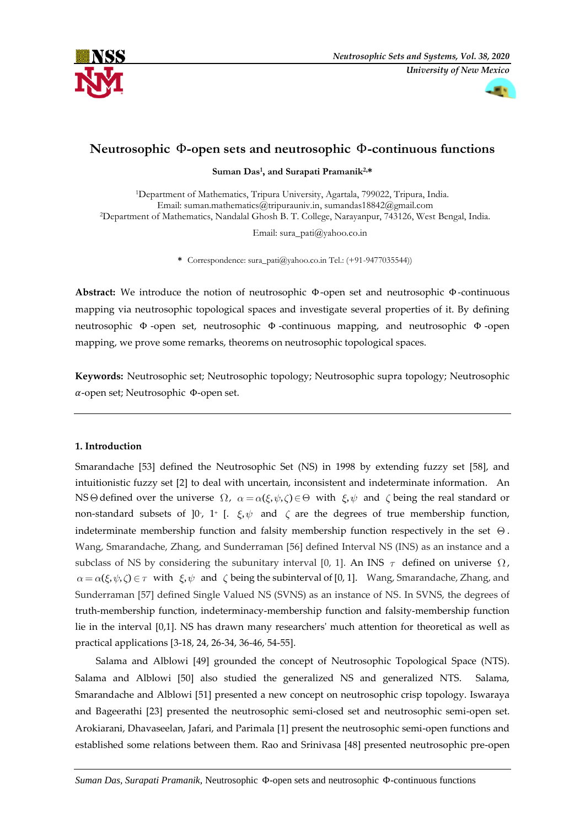



# **Neutrosophic** Φ**-open sets and neutrosophic** Φ**-continuous functions**

**Suman Das<sup>1</sup> , and Surapati Pramanik2,\***

<sup>1</sup>Department of Mathematics, Tripura University, Agartala, 799022, Tripura, India. Email: [suman.mathematics@tripurauniv.in,](mailto:1suman.mathematics@tripurauniv.in) [sumandas18842@gmail.com](mailto:sumandas18842@gmail.com) <sup>2</sup>Department of Mathematics, Nandalal Ghosh B. T. College, Narayanpur, 743126, West Bengal, India.

Email: [sura\\_pati@yahoo.co.in](mailto:%20sura_pati@yahoo.co.in)

**\*** Correspondence: sura\_pati@yahoo.co.in Tel.: (+91-9477035544))

**Abstract:** We introduce the notion of neutrosophic Φ-open set and neutrosophic Φ-continuous mapping via neutrosophic topological spaces and investigate several properties of it. By defining neutrosophic Φ -open set, neutrosophic Φ -continuous mapping, and neutrosophic Φ -open mapping, we prove some remarks, theorems on neutrosophic topological spaces.

**Keywords:** Neutrosophic set; Neutrosophic topology; Neutrosophic supra topology; Neutrosophic -open set; Neutrosophic Φ-open set.

## **1. Introduction**

Smarandache [53] defined the Neutrosophic Set (NS) in 1998 by extending fuzzy set [58], and intuitionistic fuzzy set [2] to deal with uncertain, inconsistent and indeterminate information. An NS $\Theta$  defined over the universe  $\Omega$ ,  $\alpha = \alpha(\xi, \psi, \zeta) \in \Theta$  with  $\xi, \psi$  and  $\zeta$  being the real standard or non-standard subsets of  $]0^{\circ}$ , 1<sup>+</sup> [.  $\xi, \psi$  and  $\zeta$  are the degrees of true membership function, indeterminate membership function and falsity membership function respectively in the set  $\Theta$ . Wang, Smarandache, Zhang, and Sunderraman [56] defined Interval NS (INS) as an instance and a subclass of NS by considering the subunitary interval [0, 1]. An INS  $\tau$  defined on universe  $\Omega$ ,  $(\xi, \psi, \zeta) \in \tau$  with  $\xi, \psi$  and  $\zeta$  being the subinterval of [0, 1]. Wang, Smarandache, Zhang, and Sunderraman [57] defined Single Valued NS (SVNS) as an instance of NS. In SVNS, the degrees of truth-membership function, indeterminacy-membership function and falsity-membership function lie in the interval [0,1]. NS has drawn many researchers' much attention for theoretical as well as practical applications [3-18, 24, 26-34, 36-46, 54-55].

Salama and Alblowi [49] grounded the concept of Neutrosophic Topological Space (NTS). Salama and Alblowi [50] also studied the generalized NS and generalized NTS. Salama, Smarandache and Alblowi [51] presented a new concept on neutrosophic crisp topology. Iswaraya and Bageerathi [23] presented the neutrosophic semi-closed set and neutrosophic semi-open set. Arokiarani, Dhavaseelan, Jafari, and Parimala [1] present the neutrosophic semi-open functions and established some relations between them. Rao and Srinivasa [48] presented neutrosophic pre-open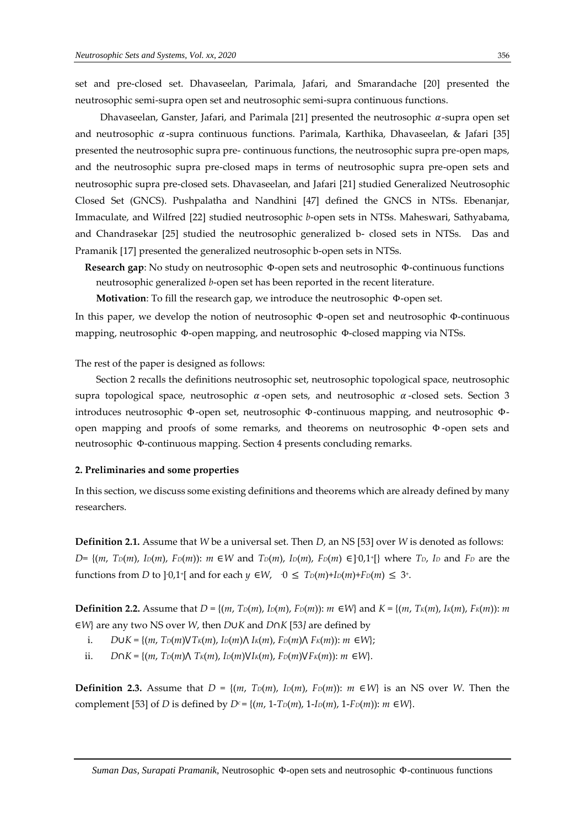set and pre-closed set. Dhavaseelan, Parimala, Jafari, and Smarandache [20] presented the neutrosophic semi-supra open set and neutrosophic semi-supra continuous functions.

Dhavaseelan, Ganster, Jafari, and Parimala [21] presented the neutrosophic  $\alpha$ -supra open set and neutrosophic  $\alpha$ -supra continuous functions. Parimala, Karthika, Dhavaseelan, & Jafari [35] presented the neutrosophic supra pre- continuous functions, the neutrosophic supra pre-open maps, and the neutrosophic supra pre-closed maps in terms of neutrosophic supra pre-open sets and neutrosophic supra pre-closed sets. Dhavaseelan, and Jafari [21] studied Generalized Neutrosophic Closed Set (GNCS). Pushpalatha and Nandhini [47] defined the GNCS in NTSs. Ebenanjar, Immaculate, and Wilfred [22] studied neutrosophic *b*-open sets in NTSs. Maheswari, Sathyabama, and Chandrasekar [25] studied the neutrosophic generalized b- closed sets in NTSs. Das and Pramanik [17] presented the generalized neutrosophic b-open sets in NTSs.

**Research gap**: No study on neutrosophic Φ-open sets and neutrosophic Φ-continuous functions neutrosophic generalized *b*-open set has been reported in the recent literature.

**Motivation**: To fill the research gap, we introduce the neutrosophic Φ-open set.

In this paper, we develop the notion of neutrosophic Φ-open set and neutrosophic Φ-continuous mapping, neutrosophic Φ-open mapping, and neutrosophic Φ-closed mapping via NTSs.

The rest of the paper is designed as follows:

Section 2 recalls the definitions neutrosophic set, neutrosophic topological space, neutrosophic supra topological space, neutrosophic  $\alpha$ -open sets, and neutrosophic  $\alpha$ -closed sets. Section 3 introduces neutrosophic Φ-open set, neutrosophic Φ-continuous mapping, and neutrosophic Φopen mapping and proofs of some remarks, and theorems on neutrosophic Φ-open sets and neutrosophic Φ-continuous mapping. Section 4 presents concluding remarks.

#### **2. Preliminaries and some properties**

In this section, we discuss some existing definitions and theorems which are already defined by many researchers.

**Definition 2.1.** Assume that *W* be a universal set. Then *D*, an NS [53] over *W* is denoted as follows:  $D = \{(m, T_D(m), I_D(m), F_D(m))\colon m \in W \text{ and } T_D(m), I_D(m), F_D(m) \in ]0,1^+[\}$  where  $T_D$ , I<sub>D</sub> and  $F_D$  are the functions from *D* to ]<sup>-</sup>0,1<sup>+</sup>[ and for each *y*  $\in W$ ,  $\cdot$  0  $\leq$   $T_D(m)+I_D(m)+F_D(m) \leq 3^{\perp}$ .

**Definition 2.2.** Assume that  $D = \{(m, T_D(m), I_D(m), F_D(m)) : m \in W\}$  and  $K = \{(m, T_K(m), I_K(m), F_K(m)) : m \in W\}$ ∈*W*} are any two NS over *W*, then *D*∪*K* and *D*∩*K* [53*]* are defined by

- i. *D*∪*K* = { $(m, T_D(m) \nV T_K(m), I_D(m) \nV I_K(m), F_D(m) \nV I_K(m))$ : *m* ∈*W*};
- ii. *D*∩*K* = {(*m*, *TD*(*m*)⋀ *TK*(*m*), *ID*(*m*)⋁*IK*(*m*), *FD*(*m*)⋁*FK*(*m*)): *m* ∈*W*}.

**Definition 2.3.** Assume that  $D = \{(m, T_D(m), I_D(m), F_D(m))\colon m \in W\}$  is an NS over *W*. Then the complement [53] of *D* is defined by  $D^c = \{(m, 1 - T_D(m), 1 - I_D(m), 1 - F_D(m)) : m \in W\}.$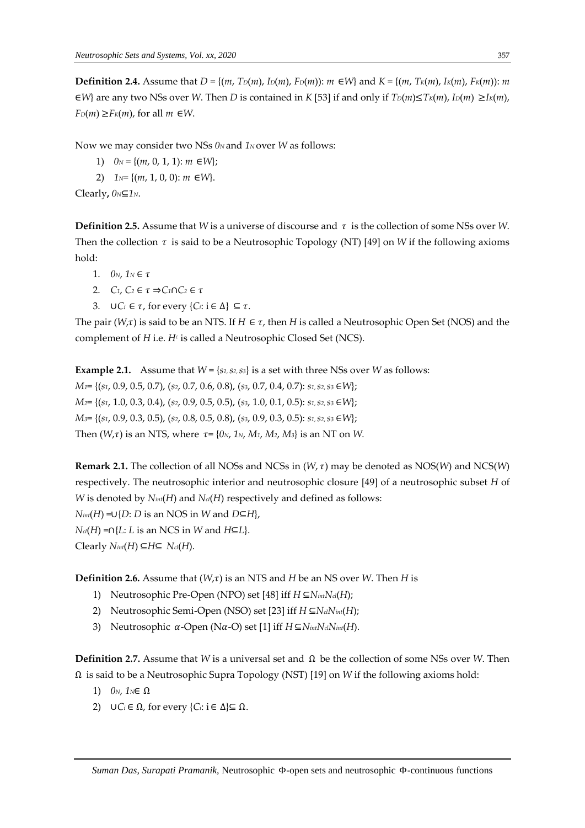**Definition 2.4.** Assume that  $D = \{(m, T_D(m), I_D(m), F_D(m)) : m \in W\}$  and  $K = \{(m, T_K(m), I_K(m), F_K(m)) : m \in W\}$  $\in$ *W*} are any two NSs over *W*. Then *D* is contained in *K* [53] if and only if  $T<sub>D</sub>(m) \leq T<sub>K</sub>(m)$ ,  $I<sub>D</sub>(m) \geq I<sub>K</sub>(m)$ ,  $F_D(m) \geq F_K(m)$ , for all  $m \in W$ .

Now we may consider two NSs  $0_N$  and  $1_N$  over *W* as follows:

- 1)  $0_N = \{(m, 0, 1, 1): m \in W\};$
- 2) *1N*= {(*m*, 1, 0, 0): *m* ∈*W*}.

Clearly**,** *0N*⊆*1N*.

**Definition 2.5.** Assume that *W* is a universe of discourse and  $\tau$  is the collection of some NSs over *W*. Then the collection  $\tau$  is said to be a Neutrosophic Topology (NT) [49] on *W* if the following axioms hold:

- 1.  $0_N$ ,  $1_N \in \tau$
- 2. *C*<sub>1</sub>, *C*<sub>2</sub> ∈  $\tau$  ⇒*C*<sub>1</sub>∩*C*<sub>2</sub> ∈  $\tau$
- 3. ∪ $C_i \in \tau$ , for every  $\{C_i: i \in \Delta\} \subseteq \tau$ .

The pair ( $W_\tau$ ) is said to be an NTS. If  $H \in \tau$ , then *H* is called a Neutrosophic Open Set (NOS) and the complement of *H* i.e. *H<sup>c</sup>* is called a Neutrosophic Closed Set (NCS).

**Example 2.1.** Assume that  $W = \{s_1, s_2, s_3\}$  is a set with three NSs over *W* as follows: *M1*= {(*s1*, 0.9, 0.5, 0.7), (*s2*, 0.7, 0.6, 0.8), (*s3*, 0.7, 0.4, 0.7): *s1*, *s2*, *s3* ∈*W*}; *M2*= {(*s1*, 1.0, 0.3, 0.4), (*s2*, 0.9, 0.5, 0.5), (*s3*, 1.0, 0.1, 0.5): *s1*, *s2*, *s3* ∈*W*}; *M3*= {(*s1*, 0.9, 0.3, 0.5), (*s2*, 0.8, 0.5, 0.8), (*s3*, 0.9, 0.3, 0.5): *s1*, *s2*, *s3* ∈*W*}; Then  $(W,\tau)$  is an NTS, where  $\tau = \{0_N, 1_N, M_1, M_2, M_3\}$  is an NT on *W*.

**Remark 2.1.** The collection of all NOSs and NCSs in (*W*,  $\tau$ ) may be denoted as NOS(*W*) and NCS(*W*) respectively. The neutrosophic interior and neutrosophic closure [49] of a neutrosophic subset *H* of *W* is denoted by  $N_{int}(H)$  and  $N_{el}(H)$  respectively and defined as follows: *Nint*(*H*) =∪{*D*: *D* is an NOS in *W* and *D*⊆*H*},  $N_{cl}(H) = \bigcap \{L: L \text{ is an NCS in } W \text{ and } H \subseteq L\}.$ 

 $\text{Clearly } N_{int}(H) ⊆ H ⊆ N_{cl}(H)$ .

**Definition 2.6.** Assume that  $(W,\tau)$  is an NTS and *H* be an NS over *W*. Then *H* is

- 1) Neutrosophic Pre-Open (NPO) set [48] iff *H* ⊆*NintNcl*(*H*);
- 2) Neutrosophic Semi-Open (NSO) set [23] iff *H* ⊆*NclNint*(*H*);
- 3) Neutrosophic  $\alpha$ -Open (N $\alpha$ -O) set [1] iff  $H \subseteq N$ *int* $N$ *cl* $N$ *int*(*H*).

**Definition 2.7.** Assume that *W* is a universal set and Ω be the collection of some NSs over *W*. Then Ω is said to be a Neutrosophic Supra Topology (NST) [19] on *W* if the following axioms hold:

- 1) *0N*, *1N*∈ Ω
- 2) *∪C<sub>i</sub>* ∈  $Ω$ *,* for every {*C<sub><i>i*</sub>: i ∈  $Δ$ }⊆  $Ω$ .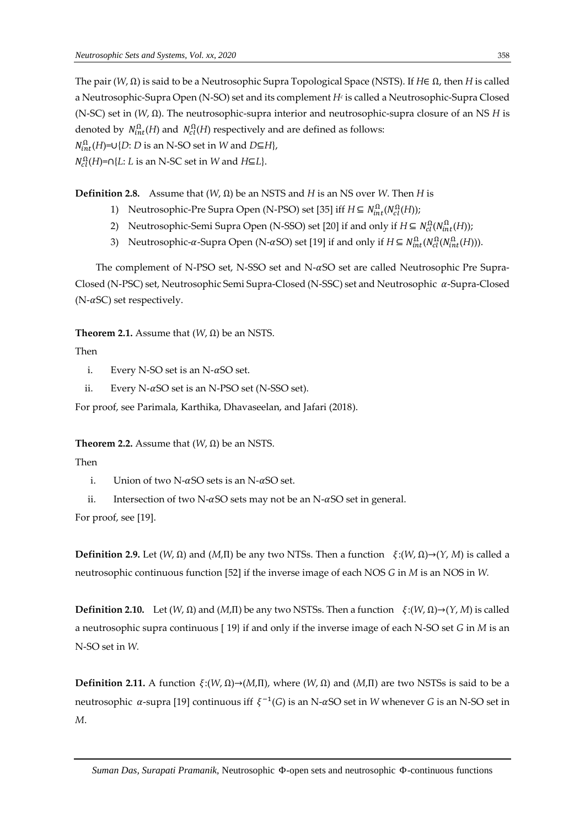The pair (*W*, Ω) is said to be a Neutrosophic Supra Topological Space (NSTS). If *H*∈ Ω, then *H* is called a Neutrosophic-Supra Open (N-SO) set and its complement *H<sup>c</sup>* is called a Neutrosophic-Supra Closed (N-SC) set in (*W*, Ω). The neutrosophic-supra interior and neutrosophic-supra closure of an NS *H* is denoted by  $\; N^{\Omega}_{int}(H)$  and  $\; N^{\Omega}_{cl}(H)$  respectively and are defined as follows:  $N_{int}^{\Omega}(H)$ =∪{*D*: *D* is an N-SO set in *W* and *D*⊆*H*},  $N_{cl}^{\Omega}(H)$ =∩{*L*: *L* is an N-SC set in *W* and *H*⊆*L*}.

**Definition 2.8.** Assume that (*W*, Ω) be an NSTS and *H* is an NS over *W*. Then *H* is

- 1) Neutrosophic-Pre Supra Open (N-PSO) set [35] iff  $H \subseteq N<sub>int</sub><sup>Ω</sup>(H)(H)$ ;
- 2) Neutrosophic-Semi Supra Open (N-SSO) set [20] if and only if  $H \subseteq N_{cl}^{\Omega}(N_{int}^{\Omega}(H))$ ;
- 3) Neutrosophic- $\alpha$ -Supra Open (N- $\alpha$ SO) set [19] if and only if  $H \subseteq N_{int}^{\Omega}(N_{int}^{\Omega}(H)))$ .

The complement of N-PSO set, N-SSO set and N- $\alpha$ SO set are called Neutrosophic Pre Supra-Closed (N-PSC) set, Neutrosophic Semi Supra-Closed (N-SSC) set and Neutrosophic  $\alpha$ -Supra-Closed (N- $\alpha$ SC) set respectively.

# **Theorem 2.1.** Assume that  $(W, \Omega)$  be an NSTS.

Then

- i. Every N-SO set is an N- $\alpha$ SO set.
- ii. Every N- $\alpha$ SO set is an N-PSO set (N-SSO set).

For proof, see Parimala, Karthika, Dhavaseelan, and Jafari (2018).

## **Theorem 2.2.** Assume that  $(W, \Omega)$  be an NSTS.

Then

- i. Union of two N- $\alpha$ SO sets is an N- $\alpha$ SO set.
- ii. Intersection of two N- $\alpha$ SO sets may not be an N- $\alpha$ SO set in general.

For proof, see [19].

**Definition 2.9.** Let  $(W, \Omega)$  and  $(M, \Pi)$  be any two NTSs. Then a function  $\xi: (W, \Omega) \to (Y, M)$  is called a neutrosophic continuous function [52] if the inverse image of each NOS *G* in *M* is an NOS in *W.*

**Definition 2.10.** Let  $(W, \Omega)$  and  $(M,\Pi)$  be any two NSTSs. Then a function  $\xi: (W, \Omega) \rightarrow (Y, M)$  is called a neutrosophic supra continuous [ 19} if and only if the inverse image of each N-SO set *G* in *M* is an N-SO set in *W.*

**Definition 2.11.** A function  $\xi: (W, \Omega) \rightarrow (M, \Pi)$ , where  $(W, \Omega)$  and  $(M, \Pi)$  are two NSTSs is said to be a neutrosophic  $\alpha$ -supra [19] continuous iff  $\xi^{-1}(G)$  is an N- $\alpha$ SO set in W whenever *G* is an N-SO set in *M*.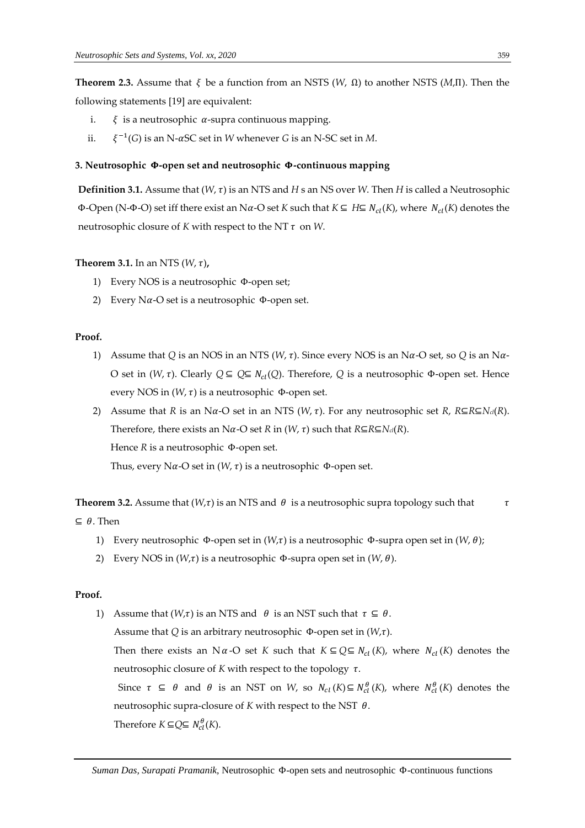**Theorem 2.3.** Assume that  $\xi$  be a function from an NSTS ( $W$ ,  $\Omega$ ) to another NSTS ( $M$ ,  $\Pi$ ). Then the following statements [19] are equivalent:

- i.  $\xi$  is a neutrosophic  $\alpha$ -supra continuous mapping.
- ii.  $^{-1}(G)$  is an N- $\alpha$ SC set in *W* whenever *G* is an N-SC set in *M*.

## **3. Neutrosophic -open set and neutrosophic -continuous mapping**

**Definition 3.1.** Assume that  $(W, \tau)$  is an NTS and *H* s an NS over *W*. Then *H* is called a Neutrosophic **Φ-Open (N-Φ-O) set iff there exist an Nα-O set** *K* **such that** *K* **⊆** *H***⊆** *N<sub>cl</sub>***(***K***), where** *N<sub>cl</sub>***(***K***) denotes the** neutrosophic closure of  $K$  with respect to the NT  $\tau$  on W.

## **Theorem 3.1.** In an NTS  $(W, \tau)$ ,

- 1) Every NOS is a neutrosophic Φ-open set;
- 2) Every N $\alpha$ -O set is a neutrosophic Φ-open set.

#### **Proof.**

- 1) Assume that *Q* is an NOS in an NTS (*W*,  $\tau$ ). Since every NOS is an N $\alpha$ -O set, so *Q* is an N $\alpha$ -O set in (*W*, τ). Clearly *Q* ⊆ *Q*⊆ *N*<sub>cl</sub>(*Q*). Therefore, *Q* is a neutrosophic Φ-open set. Hence every NOS in  $(W, \tau)$  is a neutrosophic  $\Phi$ -open set.
- 2) Assume that *R* is an N $\alpha$ -O set in an NTS (*W*,  $\tau$ ). For any neutrosophic set *R*,  $R \subseteq R \subseteq N_{cl}(R)$ . Therefore, there exists an N $\alpha$ -O set *R* in (*W*,  $\tau$ ) such that  $R \subseteq R \subseteq N_c(P)$ . Hence *R* is a neutrosophic Φ-open set. Thus, every N $\alpha$ -O set in (*W*,  $\tau$ ) is a neutrosophic Φ-open set.

**Theorem 3.2.** Assume that  $(W,\tau)$  is an NTS and  $\theta$  is a neutrosophic supra topology such that  $\tau$ 

 $\subseteq$   $\theta$ . Then

- 1) Every neutrosophic Φ-open set in  $(W,τ)$  is a neutrosophic Φ-supra open set in  $(W,θ)$ ;
- 2) Every NOS in  $(W,\tau)$  is a neutrosophic  $\Phi$ -supra open set in  $(W,\theta)$ .

## **Proof.**

1) Assume that  $(W,\tau)$  is an NTS and  $\theta$  is an NST such that  $\tau \subseteq \theta$ . Assume that *Q* is an arbitrary neutrosophic  $\Phi$ -open set in  $(W,\tau)$ . Then there exists an N  $\alpha$ -O set *K* such that  $K \subseteq Q \subseteq N_{cl}(K)$ , where  $N_{cl}(K)$  denotes the neutrosophic closure of  $K$  with respect to the topology  $\tau$ . Since  $\tau$  ⊆  $\theta$  and  $\theta$  is an NST on *W*, so  $N_{cl}(K) \subseteq N_{cl}^{\theta}(K)$ , where  $N_{cl}^{\theta}(K)$  denotes the neutrosophic supra-closure of  $K$  with respect to the NST  $\theta$ . Therefore  $K \subseteq Q \subseteq N_{cl}^{\theta}(K)$ .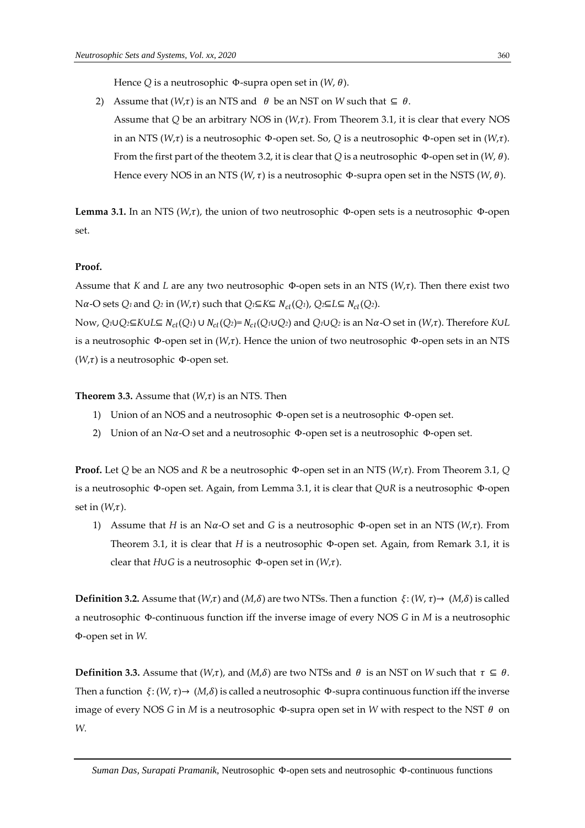Hence *Q* is a neutrosophic  $\Phi$ -supra open set in  $(W, \theta)$ .

2) Assume that  $(W,\tau)$  is an NTS and  $\theta$  be an NST on *W* such that  $\subseteq \theta$ . Assume that  $Q$  be an arbitrary NOS in  $(W,\tau)$ . From Theorem 3.1, it is clear that every NOS in an NTS ( $W,\tau$ ) is a neutrosophic Φ-open set. So, *Q* is a neutrosophic Φ-open set in ( $W,\tau$ ). From the first part of the theotem 3.2, it is clear that *Q* is a neutrosophic Φ-open set in (*W*, ). Hence every NOS in an NTS ( $W$ ,  $\tau$ ) is a neutrosophic  $\Phi$ -supra open set in the NSTS ( $W$ ,  $\theta$ ).

**Lemma 3.1.** In an NTS ( $W, \tau$ ), the union of two neutrosophic Φ-open sets is a neutrosophic Φ-open set.

#### **Proof.**

Assume that *K* and *L* are any two neutrosophic  $\Phi$ -open sets in an NTS ( $W, \tau$ ). Then there exist two  $N\alpha$ -O sets *Q*<sub>1</sub> and *Q*<sub>2</sub> in (*W*, $\tau$ ) such that *Q*<sub>1</sub>⊆*K*⊆  $N_{cl}(Q_1)$ , *Q*<sub>2</sub>⊆*L*⊆  $N_{cl}(Q_2)$ .

Now,  $Q_1 \cup Q_2 \subseteq K \cup L \subseteq N_{cl}(Q_1) \cup N_{cl}(Q_2) = N_{cl}(Q_1 \cup Q_2)$  and  $Q_1 \cup Q_2$  is an Na-O set in  $(W, \tau)$ . Therefore KUL is a neutrosophic  $\Phi$ -open set in  $(W,\tau)$ . Hence the union of two neutrosophic  $\Phi$ -open sets in an NTS  $(W,\tau)$  is a neutrosophic Φ-open set.

**Theorem 3.3.** Assume that  $(W,\tau)$  is an NTS. Then

- 1) Union of an NOS and a neutrosophic Φ-open set is a neutrosophic Φ-open set.
- 2) Union of an N $\alpha$ -O set and a neutrosophic Φ-open set is a neutrosophic Φ-open set.

**Proof.** Let *Q* be an NOS and *R* be a neutrosophic Φ-open set in an NTS ( $W, \tau$ ). From Theorem 3.1, *Q* is a neutrosophic Φ-open set. Again, from Lemma 3.1, it is clear that *Q*∪*R* is a neutrosophic Φ-open set in  $(W,\tau)$ .

1) Assume that *H* is an N $\alpha$ -O set and *G* is a neutrosophic Φ-open set in an NTS (*W*, $\tau$ ). From Theorem 3.1, it is clear that *H* is a neutrosophic Φ-open set. Again, from Remark 3.1, it is clear that *H*∪*G* is a neutrosophic Φ-open set in (*W*,τ).

**Definition 3.2.** Assume that  $(W,\tau)$  and  $(M,\delta)$  are two NTSs. Then a function  $\xi: (W,\tau) \to (M,\delta)$  is called a neutrosophic Φ-continuous function iff the inverse image of every NOS *G* in *M* is a neutrosophic Φ-open set in *W.*

**Definition 3.3.** Assume that  $(W,\tau)$ , and  $(M,\delta)$  are two NTSs and  $\theta$  is an NST on *W* such that  $\tau \subseteq \theta$ . Then a function  $\xi: (W, \tau) \to (M, \delta)$  is called a neutrosophic Φ-supra continuous function iff the inverse image of every NOS *G* in *M* is a neutrosophic Φ-supra open set in *W* with respect to the NST  $θ$  on *W.*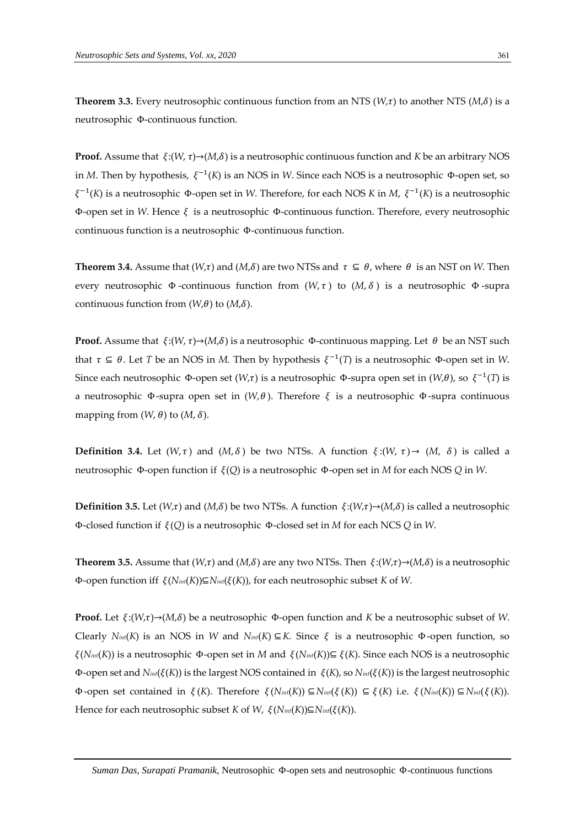**Theorem 3.3.** Every neutrosophic continuous function from an NTS ( $W,\tau$ ) to another NTS ( $M,\delta$ ) is a neutrosophic Φ-continuous function.

**Proof.** Assume that  $\xi: (W, \tau) \rightarrow (M, \delta)$  is a neutrosophic continuous function and *K* be an arbitrary NOS in *M*. Then by hypothesis, ξ<sup>-1</sup>(*K*) is an NOS in *W*. Since each NOS is a neutrosophic Φ-open set, so −1 (*K*) is a neutrosophic Φ-open set in *W*. Therefore, for each NOS *K* in *M*, −1 (*K*) is a neutrosophic Φ-open set in *W*. Hence is a neutrosophic Φ-continuous function. Therefore, every neutrosophic continuous function is a neutrosophic Φ-continuous function.

**Theorem 3.4.** Assume that  $(W,\tau)$  and  $(M,\delta)$  are two NTSs and  $\tau \subseteq \theta$ , where  $\theta$  is an NST on *W*. Then every neutrosophic  $\Phi$ -continuous function from  $(W, \tau)$  to  $(M, \delta)$  is a neutrosophic  $\Phi$ -supra continuous function from  $(W,\theta)$  to  $(M,\delta)$ .

**Proof.** Assume that  $\xi:(W,\tau) \rightarrow (M,\delta)$  is a neutrosophic  $\Phi$ -continuous mapping. Let  $\theta$  be an NST such that  $\tau \subseteq \theta$ . Let *T* be an NOS in *M*. Then by hypothesis  $\xi^{-1}(T)$  is a neutrosophic  $\Phi$ -open set in *W*. Since each neutrosophic  $\Phi$ -open set  $(W,\tau)$  is a neutrosophic  $\Phi$ -supra open set in  $(W,\theta)$ , so  $\xi^{-1}(T)$  is a neutrosophic Φ-supra open set in  $(W, θ)$ . Therefore  $ξ$  is a neutrosophic Φ-supra continuous mapping from  $(W, \theta)$  to  $(M, \delta)$ .

**Definition 3.4.** Let  $(W, \tau)$  and  $(M, \delta)$  be two NTSs. A function  $\xi: (W, \tau) \to (M, \delta)$  is called a neutrosophic Φ-open function if (*Q*) is a neutrosophic Φ-open set in *M* for each NOS *Q* in *W*.

**Definition 3.5.** Let  $(W,\tau)$  and  $(M,\delta)$  be two NTSs. A function  $\xi:(W,\tau)\to (M,\delta)$  is called a neutrosophic Φ-closed function if (*Q*) is a neutrosophic Φ-closed set in *M* for each NCS *Q* in *W*.

**Theorem 3.5.** Assume that  $(W,\tau)$  and  $(M,\delta)$  are any two NTSs. Then  $\xi:(W,\tau)\to(M,\delta)$  is a neutrosophic Φ-open function iff (*Nint*(*K*))⊆*Nint*((*K*)), for each neutrosophic subset *K* of *W*.

**Proof.** Let  $\xi: (W, \tau) \rightarrow (M, \delta)$  be a neutrosophic Φ-open function and *K* be a neutrosophic subset of *W*. Clearly  $N_{int}(K)$  is an NOS in *W* and  $N_{int}(K) \subseteq K$ . Since  $\xi$  is a neutrosophic  $\Phi$ -open function, so (*Nint*(*K*)) is a neutrosophic Φ-open set in *M* and (*Nint*(*K*))⊆ (*K*). Since each NOS is a neutrosophic Φ-open set and  $N_{in}(\xi(K))$  is the largest NOS contained in  $\xi(K)$ , so  $N_{in}(\xi(K))$  is the largest neutrosophic **Φ**-open set contained in ξ(*K*). Therefore ξ(*Nint*(*K*)) ⊆*N*<sup>*int*</sup>( $\zeta$ (*K*)) ⊆ξ(*K*) i.e. ξ(*Nint*(*K*)) ⊆*N*<sub>*int*</sub>( $\xi$ (*K*)). Hence for each neutrosophic subset *K* of *W*,  $\xi(N_{int}(K))\subseteq N_{int}(\xi(K))$ .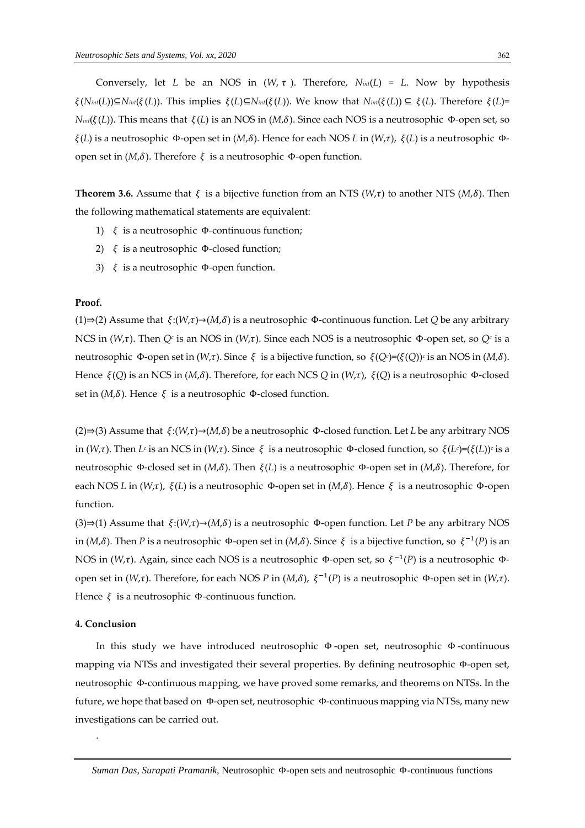Conversely, let *L* be an NOS in  $(W, \tau)$ . Therefore,  $N_{int}(L) = L$ . Now by hypothesis  $\zeta(N_{int}(L))\subseteq N_{int}(\zeta(L))$ . This implies  $\zeta(L)\subseteq N_{int}(\zeta(L))$ . We know that  $N_{int}(\zeta(L))\subseteq \zeta(L)$ . Therefore  $\zeta(L)=1$ *N*<sub>int</sub>( $\xi(L)$ ). This means that  $\xi(L)$  is an NOS in (*M*, $\delta$ ). Since each NOS is a neutrosophic Φ-open set, so  $ξ(L)$  is a neutrosophic Φ-open set in  $(M,δ)$ . Hence for each NOS *L* in  $(W,τ)$ ,  $ξ(L)$  is a neutrosophic Φopen set in  $(M, δ)$ . Therefore  $ξ$  is a neutrosophic Φ-open function.

**Theorem 3.6.** Assume that  $\xi$  is a bijective function from an NTS (*W*, $\tau$ ) to another NTS (*M*, $\delta$ ). Then the following mathematical statements are equivalent:

- 1)  $\xi$  is a neutrosophic Φ-continuous function;
- 2)  $\xi$  is a neutrosophic Φ-closed function;
- 3)  $\xi$  is a neutrosophic Φ-open function.

#### **Proof.**

(1)⇒(2) Assume that  $\xi$ :( $W, \tau$ )→( $M, \delta$ ) is a neutrosophic Φ-continuous function. Let *Q* be any arbitrary NCS in (W,τ). Then Q<sup>*c*</sup> is an NOS in (W,τ). Since each NOS is a neutrosophic Φ-open set, so Q<sup>*c*</sup> is a neutrosophic Φ-open set in ( $W, \tau$ ). Since  $\xi$  is a bijective function, so  $\xi(Q^c) = (\xi(Q))^c$  is an NOS in (*M*,δ). Hence  $ξ(Q)$  is an NCS in (*M*, $δ$ ). Therefore, for each NCS *Q* in (*W*, $τ$ ),  $ξ(Q)$  is a neutrosophic Φ-closed set in  $(M,\delta)$ . Hence  $\xi$  is a neutrosophic  $\Phi$ -closed function.

(2)⇒(3) Assume that  $\xi$ :(*W*,τ)→(*M*,δ) be a neutrosophic Φ-closed function. Let *L* be any arbitrary NOS in ( $W, \tau$ ). Then  $L^c$  is an NCS in ( $W, \tau$ ). Since  $\xi$  is a neutrosophic  $\Phi$ -closed function, so  $\xi(L^c) = (\xi(L))^c$  is a neutrosophic Φ-closed set in (*M*,δ). Then  $\xi$ (*L*) is a neutrosophic Φ-open set in (*M*,δ). Therefore, for each NOS *L* in (*W*,τ),  $\xi$ (*L*) is a neutrosophic Φ-open set in (*M*,δ). Hence  $\xi$  is a neutrosophic Φ-open function.

 $(3) \Rightarrow (1)$  Assume that  $\xi$ : $(W, \tau) \rightarrow (M, \delta)$  is a neutrosophic Φ-open function. Let *P* be any arbitrary NOS in (*M*, $\delta$ ). Then *P* is a neutrosophic  $\Phi$ -open set in (*M*, $\delta$ ). Since  $\xi$  is a bijective function, so  $\xi^{-1}(P)$  is an NOS in (W,τ). Again, since each NOS is a neutrosophic Φ-open set, so ξ<sup>-1</sup>(P) is a neutrosophic Φopen set in (*W*, $\tau$ ). Therefore, for each NOS *P* in (*M*, $\delta$ ),  $\xi^{-1}(P)$  is a neutrosophic  $\Phi$ -open set in (*W*, $\tau$ ). Hence  $\xi$  is a neutrosophic Φ-continuous function.

### **4. Conclusion**

.

In this study we have introduced neutrosophic Φ -open set, neutrosophic Φ -continuous mapping via NTSs and investigated their several properties. By defining neutrosophic Φ-open set, neutrosophic Φ-continuous mapping, we have proved some remarks, and theorems on NTSs. In the future, we hope that based on Φ-open set, neutrosophic Φ-continuous mapping via NTSs, many new investigations can be carried out.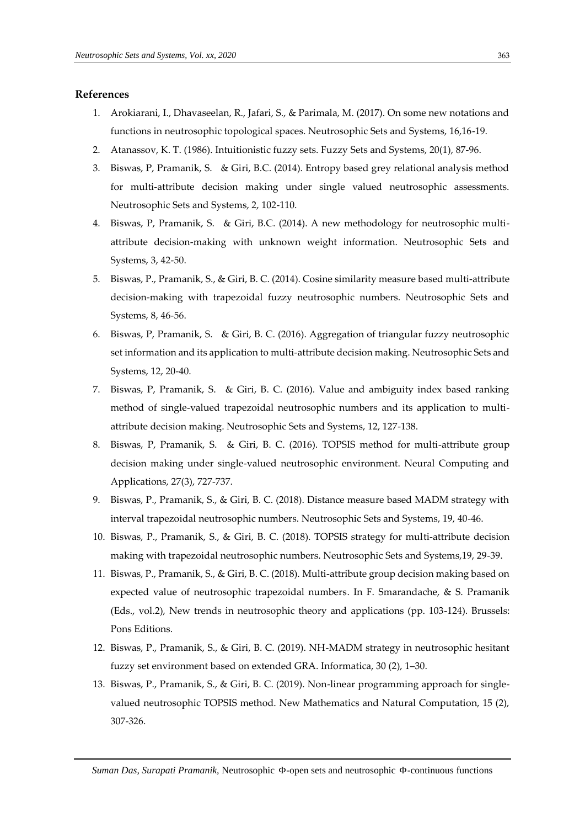## **References**

- 1. Arokiarani, I., Dhavaseelan, R., Jafari, S., & Parimala, M. (2017). On some new notations and functions in neutrosophic topological spaces. Neutrosophic Sets and Systems, 16,16-19.
- 2. Atanassov, K. T. (1986). Intuitionistic fuzzy sets. Fuzzy Sets and Systems, 20(1), 87-96.
- 3. Biswas, P, Pramanik, S. & Giri, B.C. (2014). Entropy based grey relational analysis method for multi-attribute decision making under single valued neutrosophic assessments. Neutrosophic Sets and Systems, 2, 102-110.
- 4. Biswas, P, Pramanik, S. & Giri, B.C. (2014). A new methodology for neutrosophic multiattribute decision-making with unknown weight information. Neutrosophic Sets and Systems, 3, 42-50.
- 5. Biswas, P., Pramanik, S., & Giri, B. C. (2014). Cosine similarity measure based multi-attribute decision-making with trapezoidal fuzzy neutrosophic numbers. Neutrosophic Sets and Systems, 8, 46-56.
- 6. Biswas, P, Pramanik, S. & Giri, B. C. (2016). Aggregation of triangular fuzzy neutrosophic set information and its application to multi-attribute decision making. Neutrosophic Sets and Systems, 12, 20-40.
- 7. Biswas, P, Pramanik, S. & Giri, B. C. (2016). Value and ambiguity index based ranking method of single-valued trapezoidal neutrosophic numbers and its application to multiattribute decision making. Neutrosophic Sets and Systems, 12, 127-138.
- 8. Biswas, P, Pramanik, S. & Giri, B. C. (2016). TOPSIS method for multi-attribute group decision making under single-valued neutrosophic environment. Neural Computing and Applications, 27(3), 727-737.
- 9. Biswas, P., Pramanik, S., & Giri, B. C. (2018). Distance measure based MADM strategy with interval trapezoidal neutrosophic numbers. Neutrosophic Sets and Systems, 19, 40-46.
- 10. Biswas, P., Pramanik, S., & Giri, B. C. (2018). TOPSIS strategy for multi-attribute decision making with trapezoidal neutrosophic numbers. Neutrosophic Sets and Systems,19, 29-39.
- 11. Biswas, P., Pramanik, S., & Giri, B. C. (2018). Multi-attribute group decision making based on expected value of neutrosophic trapezoidal numbers. In F. Smarandache, & S. Pramanik (Eds., vol.2), New trends in neutrosophic theory and applications (pp. 103-124). Brussels: Pons Editions.
- 12. Biswas, P., Pramanik, S., & Giri, B. C. (2019). NH-MADM strategy in neutrosophic hesitant fuzzy set environment based on extended GRA. Informatica, 30 (2), 1–30.
- 13. Biswas, P., Pramanik, S., & Giri, B. C. (2019). Non-linear programming approach for singlevalued neutrosophic TOPSIS method. New Mathematics and Natural Computation, 15 (2), 307-326.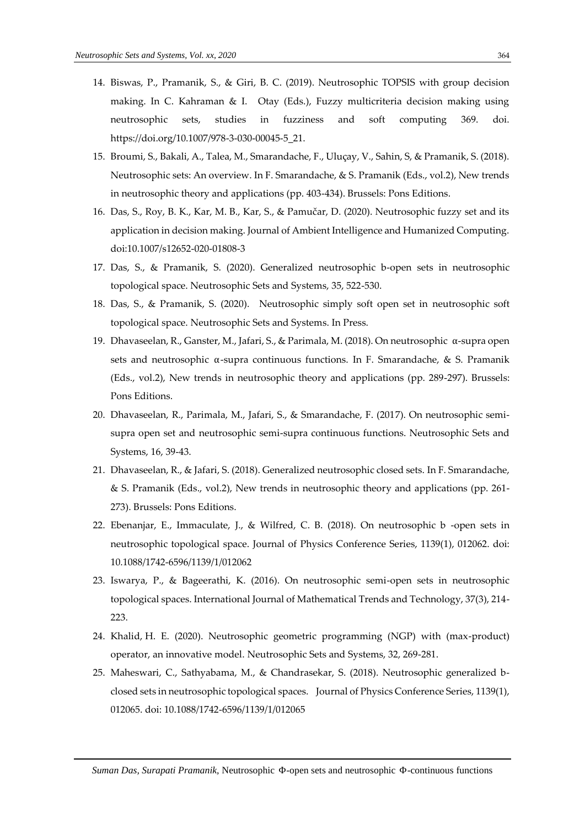- 14. Biswas, P., Pramanik, S., & Giri, B. C. (2019). Neutrosophic TOPSIS with group decision making. In C. Kahraman & I. Otay (Eds.), Fuzzy multicriteria decision making using neutrosophic sets, studies in fuzziness and soft computing 369. doi. https://doi.org/10.1007/978-3-030-00045-5\_21.
- 15. Broumi, S., Bakali, A., Talea, M., Smarandache, F., Uluçay, V., Sahin, S, & Pramanik, S. (2018). Neutrosophic sets: An overview. In F. Smarandache, & S. Pramanik (Eds., vol.2), New trends in neutrosophic theory and applications (pp. 403-434). Brussels: Pons Editions.
- 16. Das, S., Roy, B. K., Kar, M. B., Kar, S., & Pamučar, D. (2020). Neutrosophic fuzzy set and its application in decision making. Journal of Ambient Intelligence and Humanized Computing. doi:10.1007/s12652-020-01808-3
- 17. Das, S., & Pramanik, S. (2020). Generalized neutrosophic b-open sets in neutrosophic topological space. Neutrosophic Sets and Systems, 35, 522-530.
- 18. Das, S., & Pramanik, S. (2020). Neutrosophic simply soft open set in neutrosophic soft topological space. Neutrosophic Sets and Systems. In Press.
- 19. Dhavaseelan, R., Ganster, M., Jafari, S., & Parimala, M. (2018). On neutrosophic α-supra open sets and neutrosophic α-supra continuous functions. In F. Smarandache, & S. Pramanik (Eds., vol.2), New trends in neutrosophic theory and applications (pp. 289-297). Brussels: Pons Editions.
- 20. Dhavaseelan, R., Parimala, M., Jafari, S., & Smarandache, F. (2017). On neutrosophic semisupra open set and neutrosophic semi-supra continuous functions. Neutrosophic Sets and Systems, 16, 39-43.
- 21. Dhavaseelan, R., & Jafari, S. (2018). Generalized neutrosophic closed sets. In F. Smarandache, & S. Pramanik (Eds., vol.2), New trends in neutrosophic theory and applications (pp. 261- 273). Brussels: Pons Editions.
- 22. Ebenanjar, E., Immaculate, J., & Wilfred, C. B. (2018). On neutrosophic b -open sets in neutrosophic topological space. Journal of Physics Conference Series, 1139(1), 012062. doi: 10.1088/1742-6596/1139/1/012062
- 23. Iswarya, P., & Bageerathi, K. (2016). On neutrosophic semi-open sets in neutrosophic topological spaces. International Journal of Mathematical Trends and Technology, 37(3), 214- 223.
- 24. Khalid, H. E. (2020). Neutrosophic geometric programming (NGP) with (max-product) operator, an innovative model. Neutrosophic Sets and Systems, 32, 269-281.
- 25. Maheswari, C., Sathyabama, M., & Chandrasekar, S. (2018). Neutrosophic generalized bclosed sets in neutrosophic topological spaces. Journal of Physics Conference Series, 1139(1), 012065. doi: 10.1088/1742-6596/1139/1/012065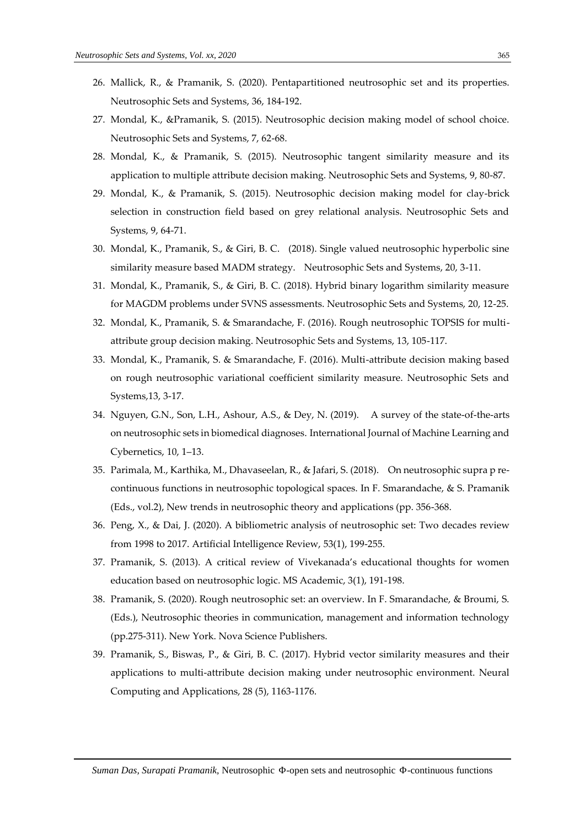- 26. Mallick, R., & Pramanik, S. (2020). Pentapartitioned neutrosophic set and its properties. Neutrosophic Sets and Systems, 36, 184-192.
- 27. Mondal, K., &Pramanik, S. (2015). Neutrosophic decision making model of school choice. Neutrosophic Sets and Systems, 7, 62-68.
- 28. Mondal, K., & Pramanik, S. (2015). Neutrosophic tangent similarity measure and its application to multiple attribute decision making. Neutrosophic Sets and Systems, 9, 80-87.
- 29. Mondal, K., & Pramanik, S. (2015). Neutrosophic decision making model for clay-brick selection in construction field based on grey relational analysis. Neutrosophic Sets and Systems, 9, 64-71.
- 30. Mondal, K., Pramanik, S., & Giri, B. C. (2018). Single valued neutrosophic hyperbolic sine similarity measure based MADM strategy. Neutrosophic Sets and Systems, 20, 3-11.
- 31. Mondal, K., Pramanik, S., & Giri, B. C. (2018). Hybrid binary logarithm similarity measure for MAGDM problems under SVNS assessments. Neutrosophic Sets and Systems, 20, 12-25.
- 32. Mondal, K., Pramanik, S. & Smarandache, F. (2016). Rough neutrosophic TOPSIS for multiattribute group decision making. Neutrosophic Sets and Systems, 13, 105-117.
- 33. Mondal, K., Pramanik, S. & Smarandache, F. (2016). Multi-attribute decision making based on rough neutrosophic variational coefficient similarity measure. Neutrosophic Sets and Systems,13, 3-17.
- 34. Nguyen, G.N., Son, L.H., Ashour, A.S., & Dey, N. (2019). A survey of the state-of-the-arts on neutrosophic sets in biomedical diagnoses. International Journal of Machine Learning and Cybernetics, 10, 1–13.
- 35. Parimala, M., Karthika, M., Dhavaseelan, R., & Jafari, S. (2018). On neutrosophic supra p recontinuous functions in neutrosophic topological spaces. In F. Smarandache, & S. Pramanik (Eds., vol.2), New trends in neutrosophic theory and applications (pp. 356-368.
- 36. Peng, X., & Dai, J. (2020). A bibliometric analysis of neutrosophic set: Two decades review from 1998 to 2017. Artificial Intelligence Review, 53(1), 199-255.
- 37. Pramanik, S. (2013). A critical review of Vivekanada's educational thoughts for women education based on neutrosophic logic. MS Academic, 3(1), 191-198.
- 38. Pramanik, S. (2020). Rough neutrosophic set: an overview. In F. Smarandache, & Broumi, S. (Eds.), Neutrosophic theories in communication, management and information technology (pp.275-311). New York. Nova Science Publishers.
- 39. Pramanik, S., Biswas, P., & Giri, B. C. (2017). Hybrid vector similarity measures and their applications to multi-attribute decision making under neutrosophic environment. Neural Computing and Applications, 28 (5), 1163-1176.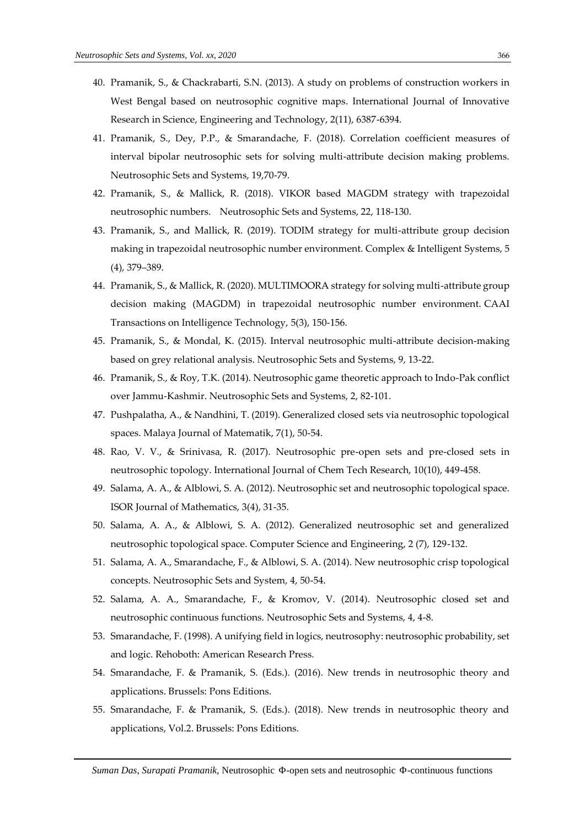- 40. Pramanik, S., & Chackrabarti, S.N. (2013). A study on problems of construction workers in West Bengal based on neutrosophic cognitive maps. International Journal of Innovative Research in Science, Engineering and Technology, 2(11), 6387-6394.
- 41. Pramanik, S., Dey, P.P., & Smarandache, F. (2018). Correlation coefficient measures of interval bipolar neutrosophic sets for solving multi-attribute decision making problems. Neutrosophic Sets and Systems, 19,70-79.
- 42. Pramanik, S., & Mallick, R. (2018). VIKOR based MAGDM strategy with trapezoidal neutrosophic numbers. Neutrosophic Sets and Systems, 22, 118-130.
- 43. Pramanik, S., and Mallick, R. (2019). TODIM strategy for multi-attribute group decision making in trapezoidal neutrosophic number environment. Complex & Intelligent Systems, 5 (4), 379–389.
- 44. Pramanik, S., & Mallick, R. (2020). MULTIMOORA strategy for solving multi-attribute group decision making (MAGDM) in trapezoidal neutrosophic number environment. CAAI Transactions on Intelligence Technology, 5(3), 150-156.
- 45. Pramanik, S., & Mondal, K. (2015). Interval neutrosophic multi-attribute decision-making based on grey relational analysis. Neutrosophic Sets and Systems, 9, 13-22.
- 46. Pramanik, S., & Roy, T.K. (2014). Neutrosophic game theoretic approach to Indo-Pak conflict over Jammu-Kashmir. Neutrosophic Sets and Systems, 2, 82-101.
- 47. Pushpalatha, A., & Nandhini, T. (2019). Generalized closed sets via neutrosophic topological spaces. Malaya Journal of Matematik, 7(1), 50-54.
- 48. Rao, V. V., & Srinivasa, R. (2017). Neutrosophic pre-open sets and pre-closed sets in neutrosophic topology. International Journal of Chem Tech Research, 10(10), 449-458.
- 49. Salama, A. A., & Alblowi, S. A. (2012). Neutrosophic set and neutrosophic topological space. ISOR Journal of Mathematics, 3(4), 31-35.
- 50. Salama, A. A., & Alblowi, S. A. (2012). Generalized neutrosophic set and generalized neutrosophic topological space. Computer Science and Engineering, 2 (7), 129-132.
- 51. Salama, A. A., Smarandache, F., & Alblowi, S. A. (2014). New neutrosophic crisp topological concepts. Neutrosophic Sets and System, 4, 50-54.
- 52. Salama, A. A., Smarandache, F., & Kromov, V. (2014). Neutrosophic closed set and neutrosophic continuous functions. Neutrosophic Sets and Systems, 4, 4-8.
- 53. Smarandache, F. (1998). A unifying field in logics, neutrosophy: neutrosophic probability, set and logic. Rehoboth: American Research Press.
- 54. Smarandache, F. & Pramanik, S. (Eds.). (2016). New trends in neutrosophic theory and applications. Brussels: Pons Editions.
- 55. Smarandache, F. & Pramanik, S. (Eds.). (2018). New trends in neutrosophic theory and applications, Vol.2. Brussels: Pons Editions.